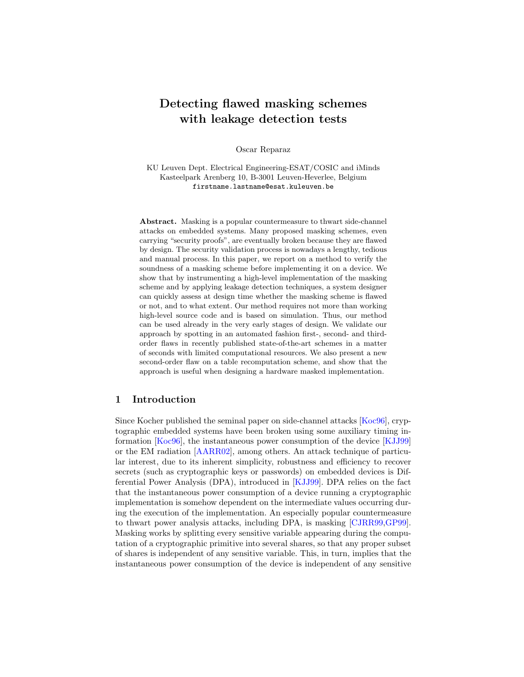# Detecting flawed masking schemes with leakage detection tests

Oscar Reparaz

KU Leuven Dept. Electrical Engineering-ESAT/COSIC and iMinds Kasteelpark Arenberg 10, B-3001 Leuven-Heverlee, Belgium firstname.lastname@esat.kuleuven.be

Abstract. Masking is a popular countermeasure to thwart side-channel attacks on embedded systems. Many proposed masking schemes, even carrying "security proofs", are eventually broken because they are flawed by design. The security validation process is nowadays a lengthy, tedious and manual process. In this paper, we report on a method to verify the soundness of a masking scheme before implementing it on a device. We show that by instrumenting a high-level implementation of the masking scheme and by applying leakage detection techniques, a system designer can quickly assess at design time whether the masking scheme is flawed or not, and to what extent. Our method requires not more than working high-level source code and is based on simulation. Thus, our method can be used already in the very early stages of design. We validate our approach by spotting in an automated fashion first-, second- and thirdorder flaws in recently published state-of-the-art schemes in a matter of seconds with limited computational resources. We also present a new second-order flaw on a table recomputation scheme, and show that the approach is useful when designing a hardware masked implementation.

# <span id="page-0-0"></span>1 Introduction

Since Kocher published the seminal paper on side-channel attacks [\[Koc96\]](#page-18-0), cryptographic embedded systems have been broken using some auxiliary timing information [\[Koc96\]](#page-18-0), the instantaneous power consumption of the device [\[KJJ99\]](#page-18-1) or the EM radiation [\[AARR02\]](#page-16-0), among others. An attack technique of particular interest, due to its inherent simplicity, robustness and efficiency to recover secrets (such as cryptographic keys or passwords) on embedded devices is Differential Power Analysis (DPA), introduced in [\[KJJ99\]](#page-18-1). DPA relies on the fact that the instantaneous power consumption of a device running a cryptographic implementation is somehow dependent on the intermediate values occurring during the execution of the implementation. An especially popular countermeasure to thwart power analysis attacks, including DPA, is masking [\[CJRR99,](#page-17-0)[GP99\]](#page-17-1). Masking works by splitting every sensitive variable appearing during the computation of a cryptographic primitive into several shares, so that any proper subset of shares is independent of any sensitive variable. This, in turn, implies that the instantaneous power consumption of the device is independent of any sensitive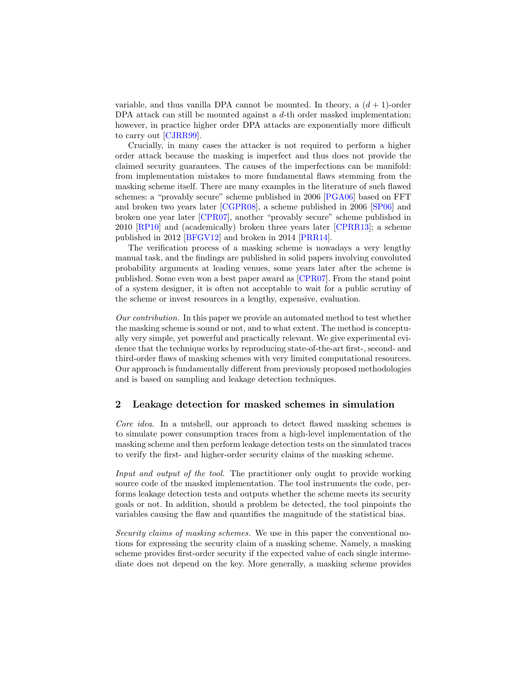variable, and thus vanilla DPA cannot be mounted. In theory, a  $(d+1)$ -order DPA attack can still be mounted against a  $d$ -th order masked implementation; however, in practice higher order DPA attacks are exponentially more difficult to carry out [\[CJRR99\]](#page-17-0).

Crucially, in many cases the attacker is not required to perform a higher order attack because the masking is imperfect and thus does not provide the claimed security guarantees. The causes of the imperfections can be manifold: from implementation mistakes to more fundamental flaws stemming from the masking scheme itself. There are many examples in the literature of such flawed schemes: a "provably secure" scheme published in 2006 [\[PGA06\]](#page-18-2) based on FFT and broken two years later [\[CGPR08\]](#page-16-1), a scheme published in 2006 [\[SP06\]](#page-18-3) and broken one year later [\[CPR07\]](#page-17-2), another "provably secure" scheme published in 2010 [\[RP10\]](#page-18-4) and (academically) broken three years later [\[CPRR13\]](#page-17-3); a scheme published in 2012 [\[BFGV12\]](#page-16-2) and broken in 2014 [\[PRR14\]](#page-18-5).

The verification process of a masking scheme is nowadays a very lengthy manual task, and the findings are published in solid papers involving convoluted probability arguments at leading venues, some years later after the scheme is published. Some even won a best paper award as [\[CPR07\]](#page-17-2). From the stand point of a system designer, it is often not acceptable to wait for a public scrutiny of the scheme or invest resources in a lengthy, expensive, evaluation.

Our contribution. In this paper we provide an automated method to test whether the masking scheme is sound or not, and to what extent. The method is conceptually very simple, yet powerful and practically relevant. We give experimental evidence that the technique works by reproducing state-of-the-art first-, second- and third-order flaws of masking schemes with very limited computational resources. Our approach is fundamentally different from previously proposed methodologies and is based on sampling and leakage detection techniques.

### <span id="page-1-0"></span>2 Leakage detection for masked schemes in simulation

Core idea. In a nutshell, our approach to detect flawed masking schemes is to simulate power consumption traces from a high-level implementation of the masking scheme and then perform leakage detection tests on the simulated traces to verify the first- and higher-order security claims of the masking scheme.

Input and output of the tool. The practitioner only ought to provide working source code of the masked implementation. The tool instruments the code, performs leakage detection tests and outputs whether the scheme meets its security goals or not. In addition, should a problem be detected, the tool pinpoints the variables causing the flaw and quantifies the magnitude of the statistical bias.

Security claims of masking schemes. We use in this paper the conventional notions for expressing the security claim of a masking scheme. Namely, a masking scheme provides first-order security if the expected value of each single intermediate does not depend on the key. More generally, a masking scheme provides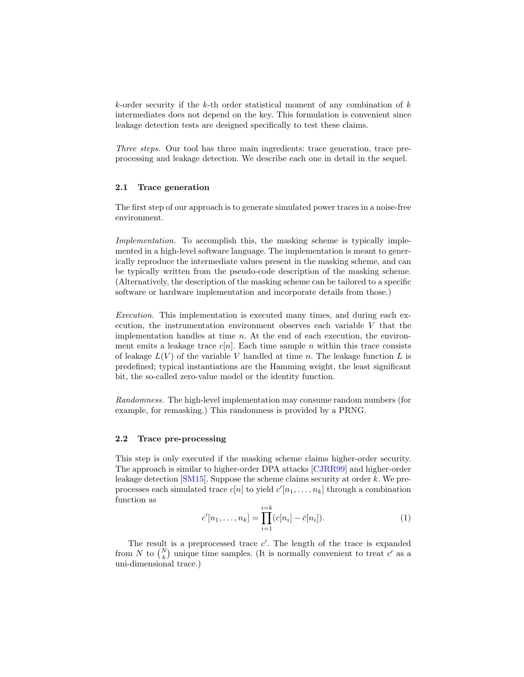k-order security if the k-th order statistical moment of any combination of  $k$ intermediates does not depend on the key. This formulation is convenient since leakage detection tests are designed specifically to test these claims.

Three steps. Our tool has three main ingredients: trace generation, trace preprocessing and leakage detection. We describe each one in detail in the sequel.

#### 2.1 Trace generation

The first step of our approach is to generate simulated power traces in a noise-free environment.

Implementation. To accomplish this, the masking scheme is typically implemented in a high-level software language. The implementation is meant to generically reproduce the intermediate values present in the masking scheme, and can be typically written from the pseudo-code description of the masking scheme. (Alternatively, the description of the masking scheme can be tailored to a specific software or hardware implementation and incorporate details from those.)

Execution. This implementation is executed many times, and during each execution, the instrumentation environment observes each variable V that the implementation handles at time  $n$ . At the end of each execution, the environment emits a leakage trace  $c[n]$ . Each time sample n within this trace consists of leakage  $L(V)$  of the variable V handled at time n. The leakage function L is predefined; typical instantiations are the Hamming weight, the least significant bit, the so-called zero-value model or the identity function.

Randomness. The high-level implementation may consume random numbers (for example, for remasking.) This randomness is provided by a PRNG.

#### <span id="page-2-1"></span>2.2 Trace pre-processing

This step is only executed if the masking scheme claims higher-order security. The approach is similar to higher-order DPA attacks [\[CJRR99\]](#page-17-0) and higher-order leakage detection  $[**SM15**]$ . Suppose the scheme claims security at order k. We preprocesses each simulated trace  $c[n]$  to yield  $c'[n_1, \ldots, n_k]$  through a combination function as

<span id="page-2-0"></span>
$$
c'[n_1, \dots, n_k] = \prod_{i=1}^{i=k} (c[n_i] - \bar{c}[n_i]).
$$
 (1)

The result is a preprocessed trace  $c'$ . The length of the trace is expanded from N to  $\binom{N}{k}$  unique time samples. (It is normally convenient to treat c' as a uni-dimensional trace.)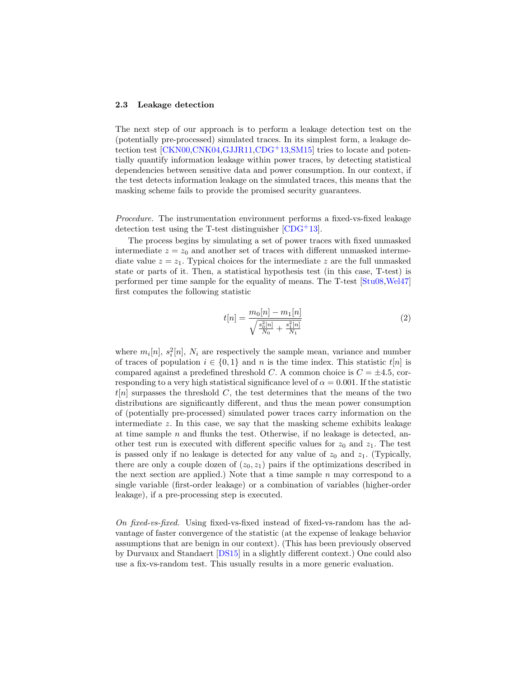#### <span id="page-3-1"></span>2.3 Leakage detection

The next step of our approach is to perform a leakage detection test on the (potentially pre-processed) simulated traces. In its simplest form, a leakage detection test [\[CKN00,](#page-17-4)[CNK04](#page-17-5)[,GJJR11](#page-17-6)[,CDG](#page-16-3)+13[,SM15\]](#page-18-6) tries to locate and potentially quantify information leakage within power traces, by detecting statistical dependencies between sensitive data and power consumption. In our context, if the test detects information leakage on the simulated traces, this means that the masking scheme fails to provide the promised security guarantees.

<span id="page-3-2"></span>Procedure. The instrumentation environment performs a fixed-vs-fixed leakage detection test using the T-test distinguisher  $[CDG+13]$  $[CDG+13]$ .

The process begins by simulating a set of power traces with fixed unmasked intermediate  $z = z_0$  and another set of traces with different unmasked intermediate value  $z = z_1$ . Typical choices for the intermediate z are the full unmasked state or parts of it. Then, a statistical hypothesis test (in this case, T-test) is performed per time sample for the equality of means. The T-test [\[Stu08](#page-18-7)[,Wel47\]](#page-18-8) first computes the following statistic

<span id="page-3-0"></span>
$$
t[n] = \frac{m_0[n] - m_1[n]}{\sqrt{\frac{s_0^2[n]}{N_0} + \frac{s_1^2[n]}{N_1}}}
$$
\n(2)

where  $m_i[n], s_i^2[n], N_i$  are respectively the sample mean, variance and number of traces of population  $i \in \{0,1\}$  and n is the time index. This statistic  $t[n]$  is compared against a predefined threshold C. A common choice is  $C = \pm 4.5$ , corresponding to a very high statistical significance level of  $\alpha = 0.001$ . If the statistic  $t[n]$  surpasses the threshold C, the test determines that the means of the two distributions are significantly different, and thus the mean power consumption of (potentially pre-processed) simulated power traces carry information on the intermediate z. In this case, we say that the masking scheme exhibits leakage at time sample  $n$  and flunks the test. Otherwise, if no leakage is detected, another test run is executed with different specific values for  $z_0$  and  $z_1$ . The test is passed only if no leakage is detected for any value of  $z_0$  and  $z_1$ . (Typically, there are only a couple dozen of  $(z_0, z_1)$  pairs if the optimizations described in the next section are applied.) Note that a time sample  $n$  may correspond to a single variable (first-order leakage) or a combination of variables (higher-order leakage), if a pre-processing step is executed.

<span id="page-3-3"></span>On fixed-vs-fixed. Using fixed-vs-fixed instead of fixed-vs-random has the advantage of faster convergence of the statistic (at the expense of leakage behavior assumptions that are benign in our context). (This has been previously observed by Durvaux and Standaert [\[DS15\]](#page-17-7) in a slightly different context.) One could also use a fix-vs-random test. This usually results in a more generic evaluation.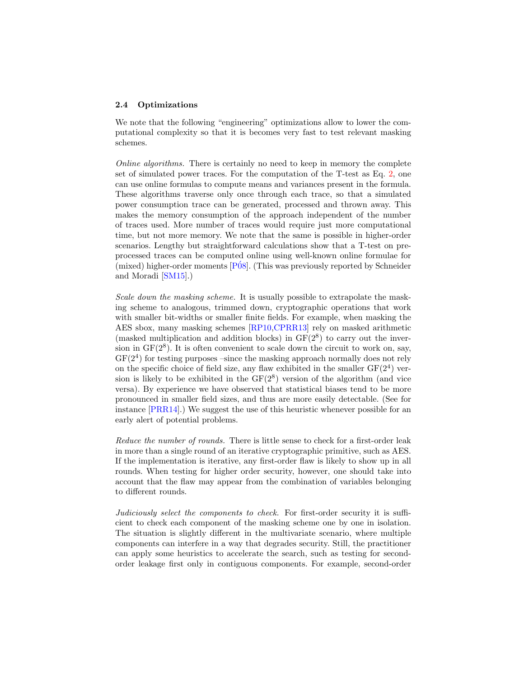#### <span id="page-4-0"></span>2.4 Optimizations

We note that the following "engineering" optimizations allow to lower the computational complexity so that it is becomes very fast to test relevant masking schemes.

<span id="page-4-2"></span>Online algorithms. There is certainly no need to keep in memory the complete set of simulated power traces. For the computation of the T-test as Eq. [2,](#page-3-0) one can use online formulas to compute means and variances present in the formula. These algorithms traverse only once through each trace, so that a simulated power consumption trace can be generated, processed and thrown away. This makes the memory consumption of the approach independent of the number of traces used. More number of traces would require just more computational time, but not more memory. We note that the same is possible in higher-order scenarios. Lengthy but straightforward calculations show that a T-test on preprocessed traces can be computed online using well-known online formulae for  $(mixed)$  higher-order moments  $[P68]$ . (This was previously reported by Schneider and Moradi [\[SM15\]](#page-18-6).)

<span id="page-4-1"></span>Scale down the masking scheme. It is usually possible to extrapolate the masking scheme to analogous, trimmed down, cryptographic operations that work with smaller bit-widths or smaller finite fields. For example, when masking the AES sbox, many masking schemes [\[RP10](#page-18-4)[,CPRR13\]](#page-17-3) rely on masked arithmetic (masked multiplication and addition blocks) in  $GF(2^8)$  to carry out the inversion in  $GF(2^8)$ . It is often convenient to scale down the circuit to work on, say,  $GF(2<sup>4</sup>)$  for testing purposes –since the masking approach normally does not rely on the specific choice of field size, any flaw exhibited in the smaller  $GF(2^4)$  version is likely to be exhibited in the  $GF(2<sup>8</sup>)$  version of the algorithm (and vice versa). By experience we have observed that statistical biases tend to be more pronounced in smaller field sizes, and thus are more easily detectable. (See for instance [\[PRR14\]](#page-18-5).) We suggest the use of this heuristic whenever possible for an early alert of potential problems.

Reduce the number of rounds. There is little sense to check for a first-order leak in more than a single round of an iterative cryptographic primitive, such as AES. If the implementation is iterative, any first-order flaw is likely to show up in all rounds. When testing for higher order security, however, one should take into account that the flaw may appear from the combination of variables belonging to different rounds.

Judiciously select the components to check. For first-order security it is sufficient to check each component of the masking scheme one by one in isolation. The situation is slightly different in the multivariate scenario, where multiple components can interfere in a way that degrades security. Still, the practitioner can apply some heuristics to accelerate the search, such as testing for secondorder leakage first only in contiguous components. For example, second-order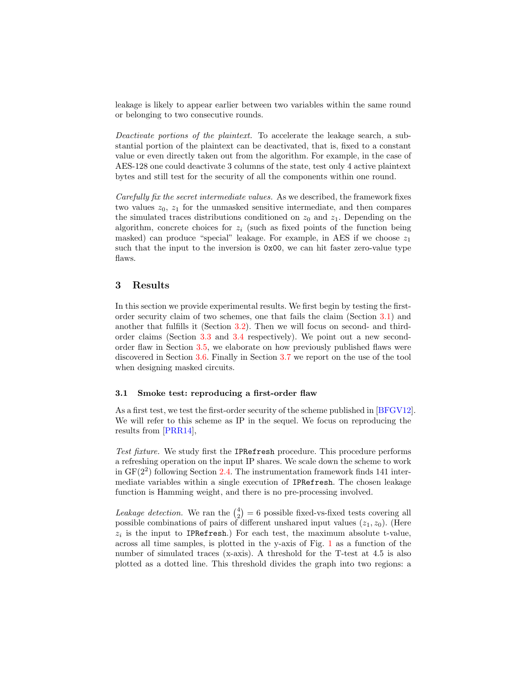leakage is likely to appear earlier between two variables within the same round or belonging to two consecutive rounds.

Deactivate portions of the plaintext. To accelerate the leakage search, a substantial portion of the plaintext can be deactivated, that is, fixed to a constant value or even directly taken out from the algorithm. For example, in the case of AES-128 one could deactivate 3 columns of the state, test only 4 active plaintext bytes and still test for the security of all the components within one round.

Carefully fix the secret intermediate values. As we described, the framework fixes two values  $z_0$ ,  $z_1$  for the unmasked sensitive intermediate, and then compares the simulated traces distributions conditioned on  $z_0$  and  $z_1$ . Depending on the algorithm, concrete choices for  $z_i$  (such as fixed points of the function being masked) can produce "special" leakage. For example, in AES if we choose  $z_1$ such that the input to the inversion is 0x00, we can hit faster zero-value type flaws.

### 3 Results

In this section we provide experimental results. We first begin by testing the firstorder security claim of two schemes, one that fails the claim (Section [3.1\)](#page-5-0) and another that fulfills it (Section [3.2\)](#page-6-0). Then we will focus on second- and thirdorder claims (Section [3.3](#page-8-0) and [3.4](#page-9-0) respectively). We point out a new secondorder flaw in Section [3.5,](#page-9-1) we elaborate on how previously published flaws were discovered in Section [3.6.](#page-10-0) Finally in Section [3.7](#page-11-0) we report on the use of the tool when designing masked circuits.

#### <span id="page-5-0"></span>3.1 Smoke test: reproducing a first-order flaw

As a first test, we test the first-order security of the scheme published in [\[BFGV12\]](#page-16-2). We will refer to this scheme as IP in the sequel. We focus on reproducing the results from [\[PRR14\]](#page-18-5),

Test fixture. We study first the IPRefresh procedure. This procedure performs a refreshing operation on the input IP shares. We scale down the scheme to work in  $GF(2^2)$  following Section [2.4.](#page-4-0) The instrumentation framework finds 141 intermediate variables within a single execution of IPRefresh. The chosen leakage function is Hamming weight, and there is no pre-processing involved.

Leakage detection. We ran the  $\binom{4}{2} = 6$  possible fixed-vs-fixed tests covering all possible combinations of pairs of different unshared input values  $(z_1, z_0)$ . (Here  $z_i$  is the input to IPRefresh.) For each test, the maximum absolute t-value, across all time samples, is plotted in the y-axis of Fig. [1](#page-6-1) as a function of the number of simulated traces (x-axis). A threshold for the T-test at 4.5 is also plotted as a dotted line. This threshold divides the graph into two regions: a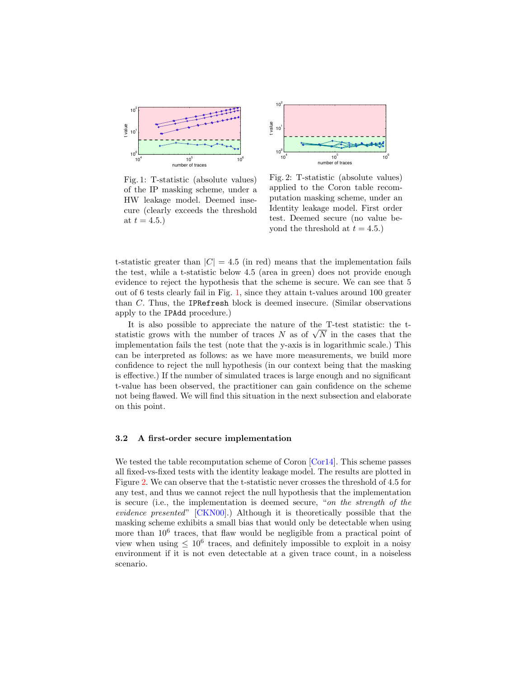<span id="page-6-1"></span>

Fig. 1: T-statistic (absolute values) of the IP masking scheme, under a HW leakage model. Deemed insecure (clearly exceeds the threshold at  $t = 4.5.$ 



Fig. 2: T-statistic (absolute values) applied to the Coron table recomputation masking scheme, under an Identity leakage model. First order test. Deemed secure (no value beyond the threshold at  $t = 4.5$ .

t-statistic greater than  $|C| = 4.5$  (in red) means that the implementation fails the test, while a t-statistic below 4.5 (area in green) does not provide enough evidence to reject the hypothesis that the scheme is secure. We can see that 5 out of 6 tests clearly fail in Fig. [1,](#page-6-1) since they attain t-values around 100 greater than C. Thus, the IPRefresh block is deemed insecure. (Similar observations apply to the IPAdd procedure.)

It is also possible to appreciate the nature of the T-test statistic: the t-It is also possible to appreciate the nature of the 1-test statistic: the t-<br>statistic grows with the number of traces N as of  $\sqrt{N}$  in the cases that the implementation fails the test (note that the y-axis is in logarithmic scale.) This can be interpreted as follows: as we have more measurements, we build more confidence to reject the null hypothesis (in our context being that the masking is effective.) If the number of simulated traces is large enough and no significant t-value has been observed, the practitioner can gain confidence on the scheme not being flawed. We will find this situation in the next subsection and elaborate on this point.

#### <span id="page-6-0"></span>3.2 A first-order secure implementation

We tested the table recomputation scheme of Coron [\[Cor14\]](#page-17-8). This scheme passes all fixed-vs-fixed tests with the identity leakage model. The results are plotted in Figure [2.](#page-6-1) We can observe that the t-statistic never crosses the threshold of 4.5 for any test, and thus we cannot reject the null hypothesis that the implementation is secure (i.e., the implementation is deemed secure, "on the strength of the evidence presented" [\[CKN00\]](#page-17-4).) Although it is theoretically possible that the masking scheme exhibits a small bias that would only be detectable when using more than  $10^6$  traces, that flaw would be negligible from a practical point of view when using  $\leq 10^6$  traces, and definitely impossible to exploit in a noisy environment if it is not even detectable at a given trace count, in a noiseless scenario.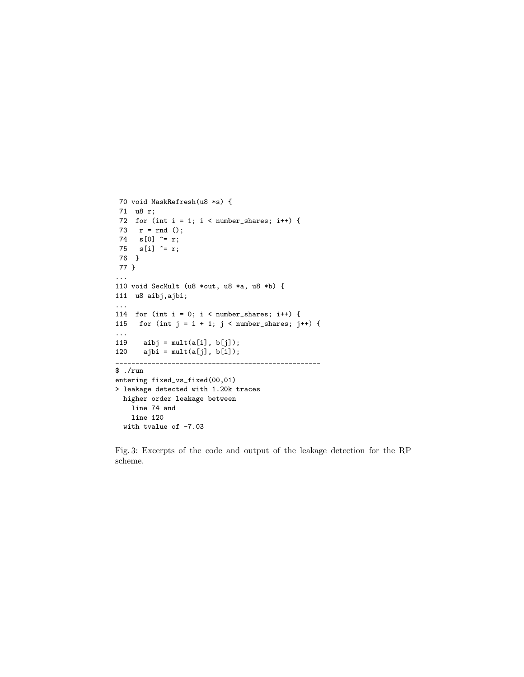```
70 void MaskRefresh(u8 *s) {
 71 u8 r;
 72 for (int i = 1; i < number_{shares}; i++) {
 73 r = rnd ();
74 s[0] \hat{i} = r;<br>75 s[i] \hat{i} = r;
     s[i] ^= r;
76 }
77 }
...
110 void SecMult (u8 *out, u8 *a, u8 *b) {
111 u8 aibj,ajbi;
...
114 for (int i = 0; i < number_{shares}; i++) {
115 for (int j = i + 1; j < number_{sharp}; j++) {
...
119 aibj = mult(a[i], b[j]);120 ajbi = mult(a[j], b[i]);___________________________________________________
$ ./run
entering fixed_vs_fixed(00,01)
> leakage detected with 1.20k traces
 higher order leakage between
    line 74 and
    line 120
  with tvalue of -7.03
```
Fig. 3: Excerpts of the code and output of the leakage detection for the RP scheme.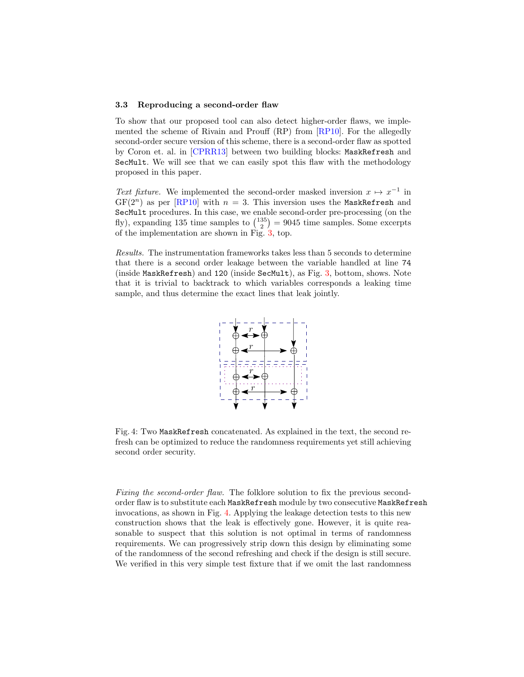#### <span id="page-8-0"></span>3.3 Reproducing a second-order flaw

To show that our proposed tool can also detect higher-order flaws, we implemented the scheme of Rivain and Prouff (RP) from [\[RP10\]](#page-18-4). For the allegedly second-order secure version of this scheme, there is a second-order flaw as spotted by Coron et. al. in [\[CPRR13\]](#page-17-3) between two building blocks: MaskRefresh and SecMult. We will see that we can easily spot this flaw with the methodology proposed in this paper.

<span id="page-8-2"></span>Text fixture. We implemented the second-order masked inversion  $x \mapsto x^{-1}$  in  $GF(2<sup>n</sup>)$  as per [\[RP10\]](#page-18-4) with  $n = 3$ . This inversion uses the MaskRefresh and SecMult procedures. In this case, we enable second-order pre-processing (on the fly), expanding 135 time samples to  $\binom{135}{2} = 9045$  time samples. Some excerpts of the implementation are shown in Fig. [3,](#page-7-0) top.

<span id="page-8-1"></span>Results. The instrumentation frameworks takes less than 5 seconds to determine that there is a second order leakage between the variable handled at line 74 (inside MaskRefresh) and 120 (inside SecMult), as Fig. [3,](#page-7-0) bottom, shows. Note that it is trivial to backtrack to which variables corresponds a leaking time sample, and thus determine the exact lines that leak jointly.



Fig. 4: Two MaskRefresh concatenated. As explained in the text, the second refresh can be optimized to reduce the randomness requirements yet still achieving second order security.

Fixing the second-order flaw. The folklore solution to fix the previous secondorder flaw is to substitute each MaskRefresh module by two consecutive MaskRefresh invocations, as shown in Fig. [4.](#page-8-1) Applying the leakage detection tests to this new construction shows that the leak is effectively gone. However, it is quite reasonable to suspect that this solution is not optimal in terms of randomness requirements. We can progressively strip down this design by eliminating some of the randomness of the second refreshing and check if the design is still secure. We verified in this very simple test fixture that if we omit the last randomness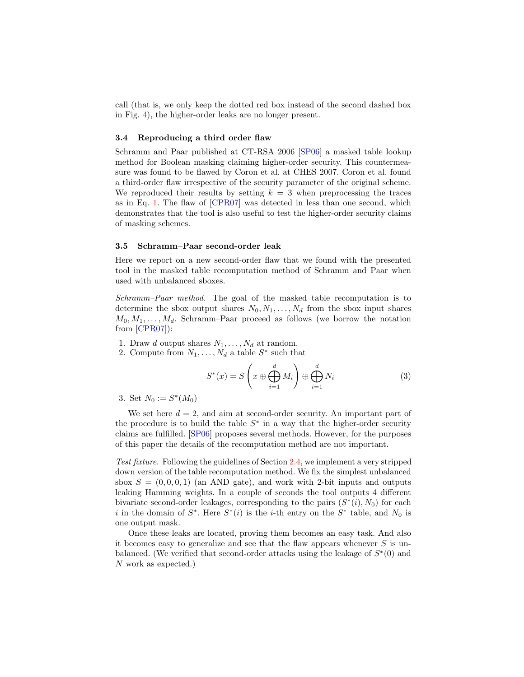call (that is, we only keep the dotted red box instead of the second dashed box in Fig. [4\)](#page-8-1), the higher-order leaks are no longer present.

#### <span id="page-9-0"></span>3.4 Reproducing a third order flaw

Schramm and Paar published at CT-RSA 2006 [\[SP06\]](#page-18-3) a masked table lookup method for Boolean masking claiming higher-order security. This countermeasure was found to be flawed by Coron et al. at CHES 2007. Coron et al. found a third-order flaw irrespective of the security parameter of the original scheme. We reproduced their results by setting  $k = 3$  when preprocessing the traces as in Eq. [1.](#page-2-0) The flaw of [\[CPR07\]](#page-17-2) was detected in less than one second, which demonstrates that the tool is also useful to test the higher-order security claims of masking schemes.

#### <span id="page-9-1"></span>3.5 Schramm–Paar second-order leak

Here we report on a new second-order flaw that we found with the presented tool in the masked table recomputation method of Schramm and Paar when used with unbalanced sboxes.

<span id="page-9-2"></span>Schramm–Paar method. The goal of the masked table recomputation is to determine the sbox output shares  $N_0, N_1, \ldots, N_d$  from the sbox input shares  $M_0, M_1, \ldots, M_d$ . Schramm–Paar proceed as follows (we borrow the notation from [\[CPR07\]](#page-17-2)):

- 1. Draw d output shares  $N_1, \ldots, N_d$  at random.
- 2. Compute from  $N_1, \ldots, N_d$  a table  $S^*$  such that

$$
S^*(x) = S\left(x \oplus \bigoplus_{i=1}^d M_i\right) \oplus \bigoplus_{i=1}^d N_i
$$
 (3)

<span id="page-9-3"></span>3. Set  $N_0 := S^*(M_0)$ 

We set here  $d = 2$ , and aim at second-order security. An important part of the procedure is to build the table  $S^*$  in a way that the higher-order security claims are fulfilled. [\[SP06\]](#page-18-3) proposes several methods. However, for the purposes of this paper the details of the recomputation method are not important.

Test fixture. Following the guidelines of Section [2.4,](#page-4-0) we implement a very stripped down version of the table recomputation method. We fix the simplest unbalanced sbox  $S = (0, 0, 0, 1)$  (an AND gate), and work with 2-bit inputs and outputs leaking Hamming weights. In a couple of seconds the tool outputs 4 different bivariate second-order leakages, corresponding to the pairs  $(S^*(i), N_0)$  for each i in the domain of  $S^*$ . Here  $S^*(i)$  is the *i*-th entry on the  $S^*$  table, and  $N_0$  is one output mask.

Once these leaks are located, proving them becomes an easy task. And also it becomes easy to generalize and see that the flaw appears whenever  $S$  is unbalanced. (We verified that second-order attacks using the leakage of  $S^*(0)$  and N work as expected.)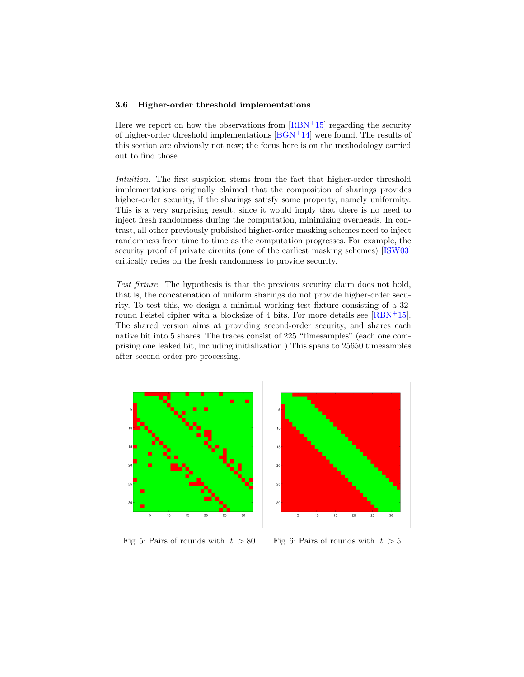#### <span id="page-10-0"></span>3.6 Higher-order threshold implementations

Here we report on how the observations from  $[RBN+15]$  $[RBN+15]$  regarding the security of higher-order threshold implementations  $[**BGN** + 14]$  were found. The results of this section are obviously not new; the focus here is on the methodology carried out to find those.

<span id="page-10-2"></span>Intuition. The first suspicion stems from the fact that higher-order threshold implementations originally claimed that the composition of sharings provides higher-order security, if the sharings satisfy some property, namely uniformity. This is a very surprising result, since it would imply that there is no need to inject fresh randomness during the computation, minimizing overheads. In contrast, all other previously published higher-order masking schemes need to inject randomness from time to time as the computation progresses. For example, the security proof of private circuits (one of the earliest masking schemes) [\[ISW03\]](#page-17-9) critically relies on the fresh randomness to provide security.

<span id="page-10-3"></span>Test fixture. The hypothesis is that the previous security claim does not hold, that is, the concatenation of uniform sharings do not provide higher-order security. To test this, we design a minimal working test fixture consisting of a 32- round Feistel cipher with a blocksize of 4 bits. For more details see [\[RBN](#page-18-10)+15]. The shared version aims at providing second-order security, and shares each native bit into 5 shares. The traces consist of 225 "timesamples" (each one comprising one leaked bit, including initialization.) This spans to 25650 timesamples after second-order pre-processing.

<span id="page-10-1"></span>

Fig. 5: Pairs of rounds with  $|t| > 80$  Fig. 6: Pairs of rounds with  $|t| > 5$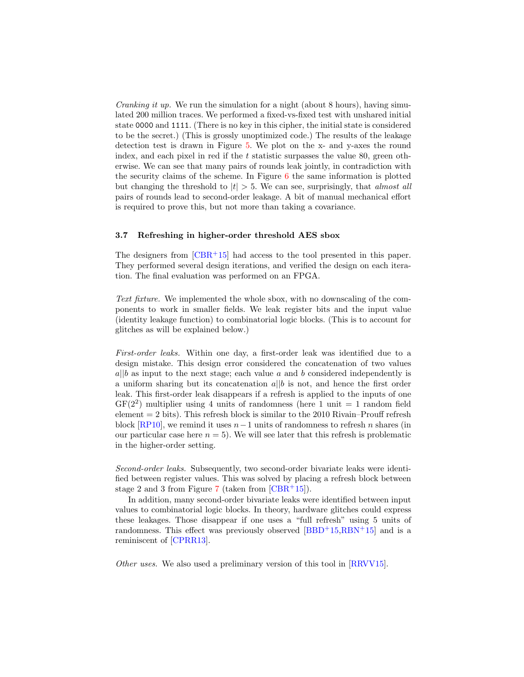Cranking it up. We run the simulation for a night (about 8 hours), having simulated 200 million traces. We performed a fixed-vs-fixed test with unshared initial state 0000 and 1111. (There is no key in this cipher, the initial state is considered to be the secret.) (This is grossly unoptimized code.) The results of the leakage detection test is drawn in Figure [5.](#page-10-1) We plot on the x- and y-axes the round index, and each pixel in red if the t statistic surpasses the value 80, green otherwise. We can see that many pairs of rounds leak jointly, in contradiction with the security claims of the scheme. In Figure [6](#page-10-1) the same information is plotted but changing the threshold to  $|t| > 5$ . We can see, surprisingly, that *almost all* pairs of rounds lead to second-order leakage. A bit of manual mechanical effort is required to prove this, but not more than taking a covariance.

#### <span id="page-11-0"></span>3.7 Refreshing in higher-order threshold AES sbox

The designers from  $[CBR+15]$  $[CBR+15]$  had access to the tool presented in this paper. They performed several design iterations, and verified the design on each iteration. The final evaluation was performed on an FPGA.

Text fixture. We implemented the whole sbox, with no downscaling of the components to work in smaller fields. We leak register bits and the input value (identity leakage function) to combinatorial logic blocks. (This is to account for glitches as will be explained below.)

<span id="page-11-2"></span>First-order leaks. Within one day, a first-order leak was identified due to a design mistake. This design error considered the concatenation of two values  $a||b$  as input to the next stage; each value a and b considered independently is a uniform sharing but its concatenation  $a||b$  is not, and hence the first order leak. This first-order leak disappears if a refresh is applied to the inputs of one  $GF(2^2)$  multiplier using 4 units of randomness (here 1 unit = 1 random field element = 2 bits). This refresh block is similar to the 2010 Rivain–Prouff refresh block  $[RP10]$ , we remind it uses  $n-1$  units of randomness to refresh n shares (in our particular case here  $n = 5$ ). We will see later that this refresh is problematic in the higher-order setting.

<span id="page-11-1"></span>Second-order leaks. Subsequently, two second-order bivariate leaks were identified between register values. This was solved by placing a refresh block between stage 2 and 3 from Figure [7](#page-12-0) (taken from  $[CBR+15]$  $[CBR+15]$ ).

In addition, many second-order bivariate leaks were identified between input values to combinatorial logic blocks. In theory, hardware glitches could express these leakages. Those disappear if one uses a "full refresh" using 5 units of randomness. This effect was previously observed  $[BBD+15,RBN+15]$  $[BBD+15,RBN+15]$  $[BBD+15,RBN+15]$  $[BBD+15,RBN+15]$  and is a reminiscent of [\[CPRR13\]](#page-17-3).

<span id="page-11-3"></span>Other uses. We also used a preliminary version of this tool in [\[RRVV15\]](#page-18-11).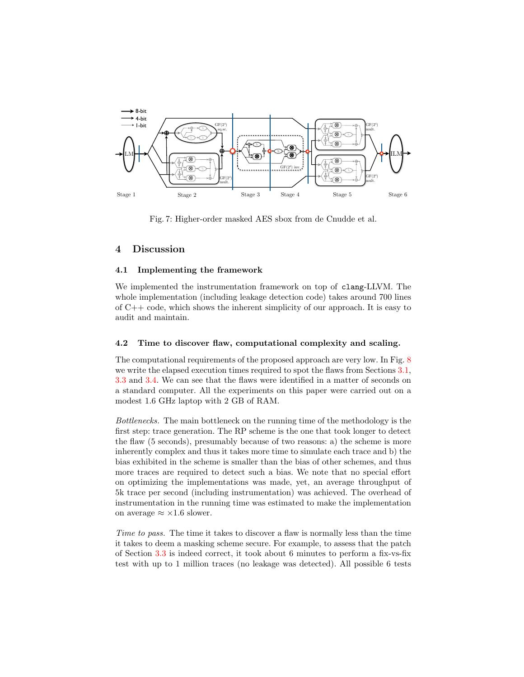<span id="page-12-0"></span>

Fig. 7: Higher-order masked AES sbox from de Cnudde et al.

# 4 Discussion

#### 4.1 Implementing the framework

We implemented the instrumentation framework on top of clang-LLVM. The whole implementation (including leakage detection code) takes around 700 lines of C++ code, which shows the inherent simplicity of our approach. It is easy to audit and maintain.

#### 4.2 Time to discover flaw, computational complexity and scaling.

The computational requirements of the proposed approach are very low. In Fig. [8](#page-13-0) we write the elapsed execution times required to spot the flaws from Sections [3.1,](#page-5-0) [3.3](#page-8-0) and [3.4.](#page-9-0) We can see that the flaws were identified in a matter of seconds on a standard computer. All the experiments on this paper were carried out on a modest 1.6 GHz laptop with 2 GB of RAM.

Bottlenecks. The main bottleneck on the running time of the methodology is the first step: trace generation. The RP scheme is the one that took longer to detect the flaw (5 seconds), presumably because of two reasons: a) the scheme is more inherently complex and thus it takes more time to simulate each trace and b) the bias exhibited in the scheme is smaller than the bias of other schemes, and thus more traces are required to detect such a bias. We note that no special effort on optimizing the implementations was made, yet, an average throughput of 5k trace per second (including instrumentation) was achieved. The overhead of instrumentation in the running time was estimated to make the implementation on average  $\approx \times 1.6$  slower.

Time to pass. The time it takes to discover a flaw is normally less than the time it takes to deem a masking scheme secure. For example, to assess that the patch of Section [3.3](#page-8-0) is indeed correct, it took about 6 minutes to perform a fix-vs-fix test with up to 1 million traces (no leakage was detected). All possible 6 tests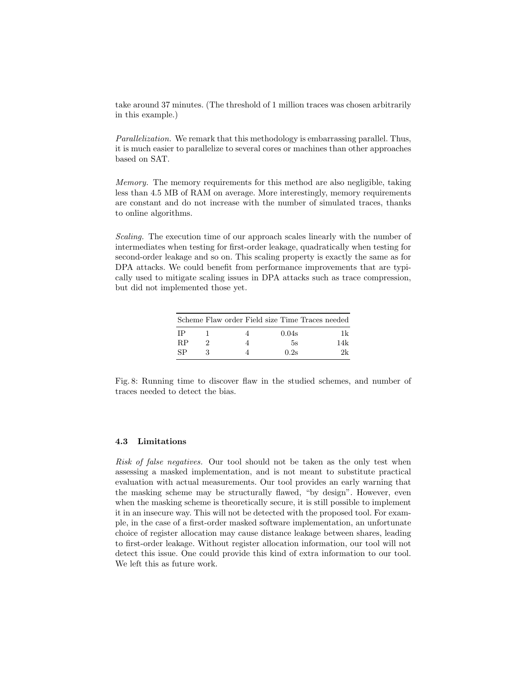take around 37 minutes. (The threshold of 1 million traces was chosen arbitrarily in this example.)

Parallelization. We remark that this methodology is embarrassing parallel. Thus, it is much easier to parallelize to several cores or machines than other approaches based on SAT.

Memory. The memory requirements for this method are also negligible, taking less than 4.5 MB of RAM on average. More interestingly, memory requirements are constant and do not increase with the number of simulated traces, thanks to online algorithms.

Scaling. The execution time of our approach scales linearly with the number of intermediates when testing for first-order leakage, quadratically when testing for second-order leakage and so on. This scaling property is exactly the same as for DPA attacks. We could benefit from performance improvements that are typically used to mitigate scaling issues in DPA attacks such as trace compression, but did not implemented those yet.

<span id="page-13-0"></span>

|     |  | Scheme Flaw order Field size Time Traces needed |     |
|-----|--|-------------------------------------------------|-----|
| ΙP  |  | 0.04s                                           | 1k  |
| RP  |  | 5s                                              | 14k |
| -SP |  | 0.2s                                            | 2k  |

Fig. 8: Running time to discover flaw in the studied schemes, and number of traces needed to detect the bias.

#### 4.3 Limitations

Risk of false negatives. Our tool should not be taken as the only test when assessing a masked implementation, and is not meant to substitute practical evaluation with actual measurements. Our tool provides an early warning that the masking scheme may be structurally flawed, "by design". However, even when the masking scheme is theoretically secure, it is still possible to implement it in an insecure way. This will not be detected with the proposed tool. For example, in the case of a first-order masked software implementation, an unfortunate choice of register allocation may cause distance leakage between shares, leading to first-order leakage. Without register allocation information, our tool will not detect this issue. One could provide this kind of extra information to our tool. We left this as future work.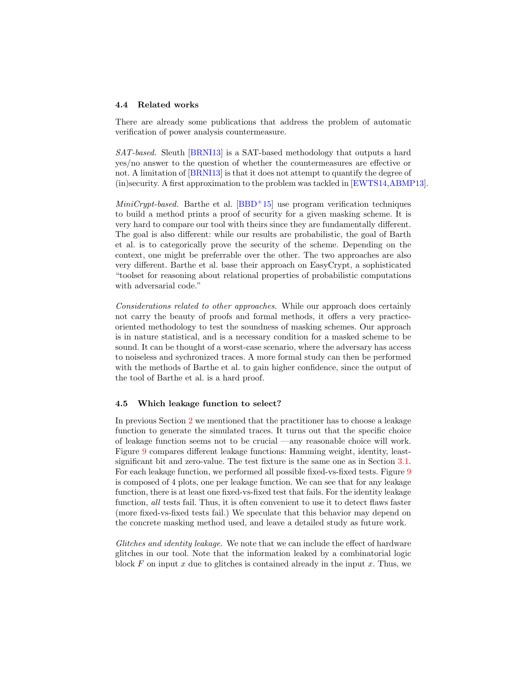### 4.4 Related works

There are already some publications that address the problem of automatic verification of power analysis countermeasure.

<span id="page-14-0"></span>SAT-based. Sleuth [\[BRNI13\]](#page-16-7) is a SAT-based methodology that outputs a hard yes/no answer to the question of whether the countermeasures are effective or not. A limitation of [\[BRNI13\]](#page-16-7) is that it does not attempt to quantify the degree of (in)security. A first approximation to the problem was tackled in [\[EWTS14,](#page-17-10)[ABMP13\]](#page-16-8).

<span id="page-14-1"></span> $Minicrypt-based$ . Barthe et al.  $[BBD+15]$  $[BBD+15]$  use program verification techniques to build a method prints a proof of security for a given masking scheme. It is very hard to compare our tool with theirs since they are fundamentally different. The goal is also different: while our results are probabilistic, the goal of Barth et al. is to categorically prove the security of the scheme. Depending on the context, one might be preferrable over the other. The two approaches are also very different. Barthe et al. base their approach on EasyCrypt, a sophisticated "toolset for reasoning about relational properties of probabilistic computations with adversarial code."

Considerations related to other approaches. While our approach does certainly not carry the beauty of proofs and formal methods, it offers a very practiceoriented methodology to test the soundness of masking schemes. Our approach is in nature statistical, and is a necessary condition for a masked scheme to be sound. It can be thought of a worst-case scenario, where the adversary has access to noiseless and sychronized traces. A more formal study can then be performed with the methods of Barthe et al. to gain higher confidence, since the output of the tool of Barthe et al. is a hard proof.

#### 4.5 Which leakage function to select?

In previous Section [2](#page-1-0) we mentioned that the practitioner has to choose a leakage function to generate the simulated traces. It turns out that the specific choice of leakage function seems not to be crucial —any reasonable choice will work. Figure [9](#page-15-0) compares different leakage functions: Hamming weight, identity, leastsignificant bit and zero-value. The test fixture is the same one as in Section [3.1.](#page-5-0) For each leakage function, we performed all possible fixed-vs-fixed tests. Figure [9](#page-15-0) is composed of 4 plots, one per leakage function. We can see that for any leakage function, there is at least one fixed-vs-fixed test that fails. For the identity leakage function, all tests fail. Thus, it is often convenient to use it to detect flaws faster (more fixed-vs-fixed tests fail.) We speculate that this behavior may depend on the concrete masking method used, and leave a detailed study as future work.

Glitches and identity leakage. We note that we can include the effect of hardware glitches in our tool. Note that the information leaked by a combinatorial logic block F on input x due to glitches is contained already in the input x. Thus, we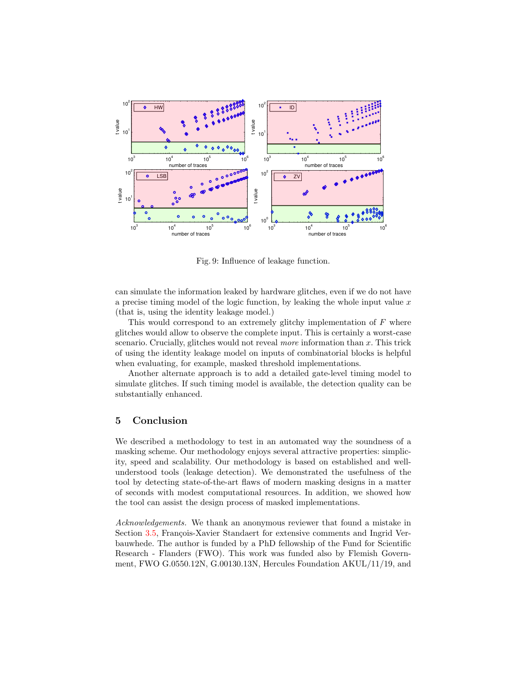<span id="page-15-0"></span>

Fig. 9: Influence of leakage function.

can simulate the information leaked by hardware glitches, even if we do not have a precise timing model of the logic function, by leaking the whole input value  $x$ (that is, using the identity leakage model.)

This would correspond to an extremely glitchy implementation of  $F$  where glitches would allow to observe the complete input. This is certainly a worst-case scenario. Crucially, glitches would not reveal *more* information than  $x$ . This trick of using the identity leakage model on inputs of combinatorial blocks is helpful when evaluating, for example, masked threshold implementations.

Another alternate approach is to add a detailed gate-level timing model to simulate glitches. If such timing model is available, the detection quality can be substantially enhanced.

# 5 Conclusion

We described a methodology to test in an automated way the soundness of a masking scheme. Our methodology enjoys several attractive properties: simplicity, speed and scalability. Our methodology is based on established and wellunderstood tools (leakage detection). We demonstrated the usefulness of the tool by detecting state-of-the-art flaws of modern masking designs in a matter of seconds with modest computational resources. In addition, we showed how the tool can assist the design process of masked implementations.

Acknowledgements. We thank an anonymous reviewer that found a mistake in Section [3.5,](#page-9-1) François-Xavier Standaert for extensive comments and Ingrid Verbauwhede. The author is funded by a PhD fellowship of the Fund for Scientific Research - Flanders (FWO). This work was funded also by Flemish Government, FWO G.0550.12N, G.00130.13N, Hercules Foundation AKUL/11/19, and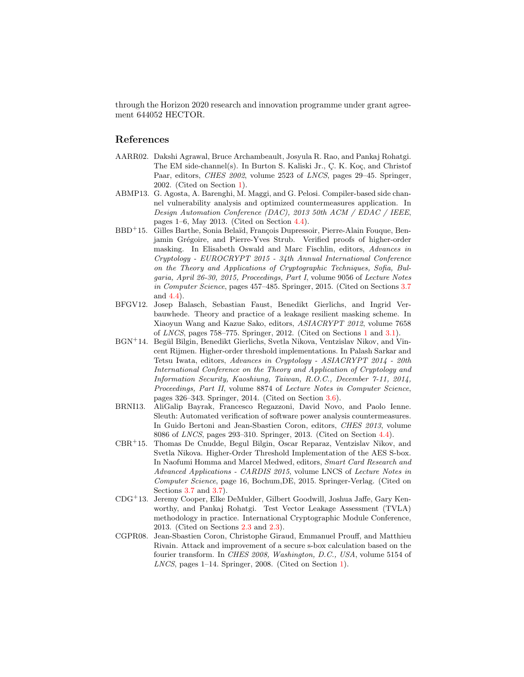through the Horizon 2020 research and innovation programme under grant agreement 644052 HECTOR.

### <span id="page-16-9"></span>References

- <span id="page-16-0"></span>AARR02. Dakshi Agrawal, Bruce Archambeault, Josyula R. Rao, and Pankaj Rohatgi. The EM side-channel(s). In Burton S. Kaliski Jr., C. K. Koç, and Christof Paar, editors, CHES 2002, volume 2523 of LNCS, pages 29–45. Springer, 2002. (Cited on Section [1\)](#page-0-0).
- <span id="page-16-8"></span>ABMP13. G. Agosta, A. Barenghi, M. Maggi, and G. Pelosi. Compiler-based side channel vulnerability analysis and optimized countermeasures application. In Design Automation Conference (DAC), 2013 50th ACM / EDAC / IEEE, pages 1–6, May 2013. (Cited on Section [4.4\)](#page-14-0).
- <span id="page-16-6"></span>BBD<sup>+</sup>15. Gilles Barthe, Sonia Belaïd, François Dupressoir, Pierre-Alain Fouque, Benjamin Grégoire, and Pierre-Yves Strub. Verified proofs of higher-order masking. In Elisabeth Oswald and Marc Fischlin, editors, Advances in Cryptology - EUROCRYPT 2015 - 34th Annual International Conference on the Theory and Applications of Cryptographic Techniques, Sofia, Bulgaria, April 26-30, 2015, Proceedings, Part I, volume 9056 of Lecture Notes in Computer Science, pages 457–485. Springer, 2015. (Cited on Sections [3.7](#page-11-1) and [4.4\)](#page-14-1).
- <span id="page-16-2"></span>BFGV12. Josep Balasch, Sebastian Faust, Benedikt Gierlichs, and Ingrid Verbauwhede. Theory and practice of a leakage resilient masking scheme. In Xiaoyun Wang and Kazue Sako, editors, ASIACRYPT 2012, volume 7658 of LNCS, pages 758–775. Springer, 2012. (Cited on Sections [1](#page-0-0) and [3.1\)](#page-5-0).
- <span id="page-16-4"></span> $BGN<sup>+</sup>14.$  Begül Bilgin, Benedikt Gierlichs, Svetla Nikova, Ventzislav Nikov, and Vincent Rijmen. Higher-order threshold implementations. In Palash Sarkar and Tetsu Iwata, editors, Advances in Cryptology - ASIACRYPT 2014 - 20th International Conference on the Theory and Application of Cryptology and Information Security, Kaoshiung, Taiwan, R.O.C., December 7-11, 2014, Proceedings, Part II, volume 8874 of Lecture Notes in Computer Science, pages 326–343. Springer, 2014. (Cited on Section [3.6\)](#page-10-0).
- <span id="page-16-7"></span>BRNI13. AliGalip Bayrak, Francesco Regazzoni, David Novo, and Paolo Ienne. Sleuth: Automated verification of software power analysis countermeasures. In Guido Bertoni and Jean-Sbastien Coron, editors, CHES 2013, volume 8086 of LNCS, pages 293–310. Springer, 2013. (Cited on Section [4.4\)](#page-14-0).
- <span id="page-16-5"></span>CBR<sup>+</sup>15. Thomas De Cnudde, Begul Bilgin, Oscar Reparaz, Ventzislav Nikov, and Svetla Nikova. Higher-Order Threshold Implementation of the AES S-box. In Naofumi Homma and Marcel Medwed, editors, Smart Card Research and Advanced Applications - CARDIS 2015, volume LNCS of Lecture Notes in Computer Science, page 16, Bochum,DE, 2015. Springer-Verlag. (Cited on Sections [3.7](#page-11-0) and [3.7\)](#page-11-1).
- <span id="page-16-3"></span>CDG<sup>+</sup>13. Jeremy Cooper, Elke DeMulder, Gilbert Goodwill, Joshua Jaffe, Gary Kenworthy, and Pankaj Rohatgi. Test Vector Leakage Assessment (TVLA) methodology in practice. International Cryptographic Module Conference, 2013. (Cited on Sections [2.3](#page-3-1) and [2.3\)](#page-3-2).
- <span id="page-16-1"></span>CGPR08. Jean-Sbastien Coron, Christophe Giraud, Emmanuel Prouff, and Matthieu Rivain. Attack and improvement of a secure s-box calculation based on the fourier transform. In CHES 2008, Washington, D.C., USA, volume 5154 of LNCS, pages 1–14. Springer, 2008. (Cited on Section [1\)](#page-0-0).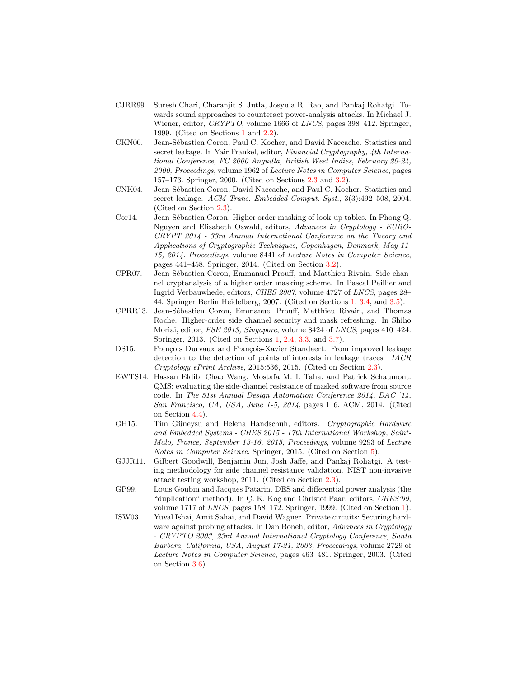- <span id="page-17-0"></span>CJRR99. Suresh Chari, Charanjit S. Jutla, Josyula R. Rao, and Pankaj Rohatgi. Towards sound approaches to counteract power-analysis attacks. In Michael J. Wiener, editor, *CRYPTO*, volume 1666 of *LNCS*, pages 398–412. Springer, 1999. (Cited on Sections [1](#page-0-0) and [2.2\)](#page-2-1).
- <span id="page-17-4"></span>CKN00. Jean-Sébastien Coron, Paul C. Kocher, and David Naccache. Statistics and secret leakage. In Yair Frankel, editor, Financial Cryptography, 4th International Conference, FC 2000 Anguilla, British West Indies, February 20-24, 2000, Proceedings, volume 1962 of Lecture Notes in Computer Science, pages 157–173. Springer, 2000. (Cited on Sections [2.3](#page-3-1) and [3.2\)](#page-6-0).
- <span id="page-17-5"></span>CNK04. Jean-Sébastien Coron, David Naccache, and Paul C. Kocher. Statistics and secret leakage. ACM Trans. Embedded Comput. Syst., 3(3):492–508, 2004. (Cited on Section [2.3\)](#page-3-1).
- <span id="page-17-8"></span>Cor14. Jean-Sébastien Coron. Higher order masking of look-up tables. In Phong Q. Nguyen and Elisabeth Oswald, editors, Advances in Cryptology - EURO-CRYPT 2014 - 33rd Annual International Conference on the Theory and Applications of Cryptographic Techniques, Copenhagen, Denmark, May 11- 15, 2014. Proceedings, volume 8441 of Lecture Notes in Computer Science, pages 441–458. Springer, 2014. (Cited on Section [3.2\)](#page-6-0).
- <span id="page-17-2"></span>CPR07. Jean-Sébastien Coron, Emmanuel Prouff, and Matthieu Rivain. Side channel cryptanalysis of a higher order masking scheme. In Pascal Paillier and Ingrid Verbauwhede, editors, CHES 2007, volume 4727 of LNCS, pages 28– 44. Springer Berlin Heidelberg, 2007. (Cited on Sections [1,](#page-0-0) [3.4,](#page-9-0) and [3.5\)](#page-9-2).
- <span id="page-17-3"></span>CPRR13. Jean-S´ebastien Coron, Emmanuel Prouff, Matthieu Rivain, and Thomas Roche. Higher-order side channel security and mask refreshing. In Shiho Moriai, editor, FSE 2013, Singapore, volume 8424 of LNCS, pages 410–424. Springer, 2013. (Cited on Sections [1,](#page-0-0) [2.4,](#page-4-1) [3.3,](#page-8-0) and [3.7\)](#page-11-1).
- <span id="page-17-7"></span>DS15. François Durvaux and François-Xavier Standaert. From improved leakage detection to the detection of points of interests in leakage traces. IACR Cryptology ePrint Archive, 2015:536, 2015. (Cited on Section [2.3\)](#page-3-3).
- <span id="page-17-10"></span>EWTS14. Hassan Eldib, Chao Wang, Mostafa M. I. Taha, and Patrick Schaumont. QMS: evaluating the side-channel resistance of masked software from source code. In The 51st Annual Design Automation Conference 2014, DAC '14, San Francisco, CA, USA, June 1-5, 2014, pages 1–6. ACM, 2014. (Cited on Section [4.4\)](#page-14-0).
- <span id="page-17-11"></span>GH15. Tim Güneysu and Helena Handschuh, editors. Cryptographic Hardware and Embedded Systems - CHES 2015 - 17th International Workshop, Saint-Malo, France, September 13-16, 2015, Proceedings, volume 9293 of Lecture Notes in Computer Science. Springer, 2015. (Cited on Section [5\)](#page-16-9).
- <span id="page-17-6"></span>GJJR11. Gilbert Goodwill, Benjamin Jun, Josh Jaffe, and Pankaj Rohatgi. A testing methodology for side channel resistance validation. NIST non-invasive attack testing workshop, 2011. (Cited on Section [2.3\)](#page-3-1).
- <span id="page-17-1"></span>GP99. Louis Goubin and Jacques Patarin. DES and differential power analysis (the "duplication" method). In C. K. Koç and Christof Paar, editors, CHES'99, volume 1717 of LNCS, pages 158–172. Springer, 1999. (Cited on Section [1\)](#page-0-0).
- <span id="page-17-9"></span>ISW03. Yuval Ishai, Amit Sahai, and David Wagner. Private circuits: Securing hardware against probing attacks. In Dan Boneh, editor, Advances in Cryptology - CRYPTO 2003, 23rd Annual International Cryptology Conference, Santa Barbara, California, USA, August 17-21, 2003, Proceedings, volume 2729 of Lecture Notes in Computer Science, pages 463–481. Springer, 2003. (Cited on Section [3.6\)](#page-10-2).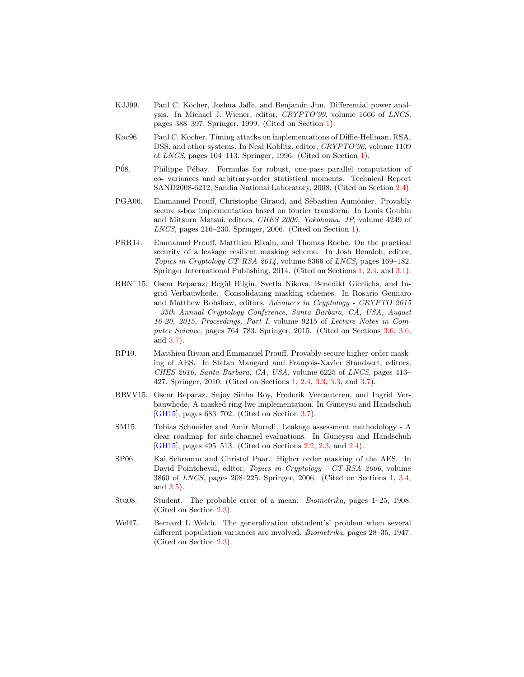- <span id="page-18-1"></span>KJJ99. Paul C. Kocher, Joshua Jaffe, and Benjamin Jun. Differential power analysis. In Michael J. Wiener, editor, CRYPTO'99, volume 1666 of LNCS, pages 388–397. Springer, 1999. (Cited on Section [1\)](#page-0-0).
- <span id="page-18-0"></span>Koc96. Paul C. Kocher. Timing attacks on implementations of Diffie-Hellman, RSA, DSS, and other systems. In Neal Koblitz, editor, CRYPTO'96, volume 1109 of LNCS, pages 104–113. Springer, 1996. (Cited on Section [1\)](#page-0-0).
- <span id="page-18-9"></span>PÓS. Philippe Pébay. Formulas for robust, one-pass parallel computation of co- variances and arbitrary-order statistical moments. Technical Report SAND2008-6212, Sandia National Laboratory, 2008. (Cited on Section [2.4\)](#page-4-2).
- <span id="page-18-2"></span>PGA06. Emmanuel Prouff, Christophe Giraud, and Sébastien Aumônier. Provably secure s-box implementation based on fourier transform. In Louis Goubin and Mitsuru Matsui, editors, CHES 2006, Yokohama, JP, volume 4249 of LNCS, pages 216–230. Springer, 2006. (Cited on Section [1\)](#page-0-0).
- <span id="page-18-5"></span>PRR14. Emmanuel Prouff, Matthieu Rivain, and Thomas Roche. On the practical security of a leakage resilient masking scheme. In Josh Benaloh, editor, Topics in Cryptology CT-RSA 2014, volume 8366 of LNCS, pages 169–182. Springer International Publishing, 2014. (Cited on Sections [1,](#page-0-0) [2.4,](#page-4-1) and [3.1\)](#page-5-0).
- <span id="page-18-10"></span> $RBN<sup>+</sup>15. Oscar Reparaz, Begül Bilgin, Svetla Nikova, Benedikt Gierlich, and In$ grid Verbauwhede. Consolidating masking schemes. In Rosario Gennaro and Matthew Robshaw, editors, Advances in Cryptology - CRYPTO 2015 - 35th Annual Cryptology Conference, Santa Barbara, CA, USA, August 16-20, 2015, Proceedings, Part I, volume 9215 of Lecture Notes in Computer Science, pages 764–783. Springer, 2015. (Cited on Sections [3.6,](#page-10-0) [3.6,](#page-10-3) and [3.7\)](#page-11-1).
- <span id="page-18-4"></span>RP10. Matthieu Rivain and Emmanuel Prouff. Provably secure higher-order masking of AES. In Stefan Mangard and François-Xavier Standaert, editors, CHES 2010, Santa Barbara, CA, USA, volume 6225 of LNCS, pages 413– 427. Springer, 2010. (Cited on Sections [1,](#page-0-0) [2.4,](#page-4-1) [3.3,](#page-8-0) [3.3,](#page-8-2) and [3.7\)](#page-11-2).
- <span id="page-18-11"></span>RRVV15. Oscar Reparaz, Sujoy Sinha Roy, Frederik Vercauteren, and Ingrid Verbauwhede. A masked ring-lwe implementation. In Güneysu and Handschuh [\[GH15\]](#page-17-11), pages 683–702. (Cited on Section [3.7\)](#page-11-3).
- <span id="page-18-6"></span>SM15. Tobias Schneider and Amir Moradi. Leakage assessment methodology - A clear roadmap for side-channel evaluations. In Güneysu and Handschuh [\[GH15\]](#page-17-11), pages 495–513. (Cited on Sections [2.2,](#page-2-1) [2.3,](#page-3-1) and [2.4\)](#page-4-2).
- <span id="page-18-3"></span>SP06. Kai Schramm and Christof Paar. Higher order masking of the AES. In David Pointcheval, editor, *Topics in Cryptology - CT-RSA 2006*, volume 3860 of LNCS, pages 208–225. Springer, 2006. (Cited on Sections [1,](#page-0-0) [3.4,](#page-9-0) and [3.5\)](#page-9-3).
- <span id="page-18-7"></span>Stu08. Student. The probable error of a mean. Biometrika, pages 1–25, 1908. (Cited on Section [2.3\)](#page-3-2).
- <span id="page-18-8"></span>Wel47. Bernard L Welch. The generalization of student's' problem when several different population variances are involved. Biometrika, pages 28–35, 1947. (Cited on Section [2.3\)](#page-3-2).